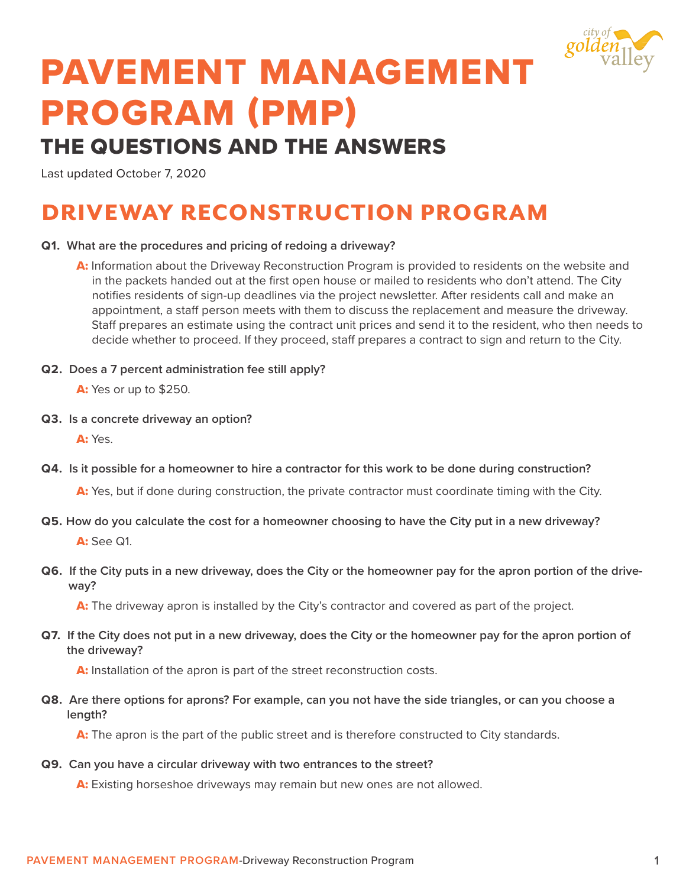

# PAVEMENT MANAGEMENT PROGRAM (PMP)

### THE QUESTIONS AND THE ANSWERS

Last updated October 7, 2020

## DRIVEWAY RECONSTRUCTION PROGRAM

### **Q1. What are the procedures and pricing of redoing a driveway?**

- A: Information about the Driveway Reconstruction Program is provided to residents on the website and in the packets handed out at the first open house or mailed to residents who don't attend. The City notifies residents of sign-up deadlines via the project newsletter. After residents call and make an appointment, a staff person meets with them to discuss the replacement and measure the driveway. Staff prepares an estimate using the contract unit prices and send it to the resident, who then needs to decide whether to proceed. If they proceed, staff prepares a contract to sign and return to the City.
- **Q2. Does a 7 percent administration fee still apply?**

A: Yes or up to \$250.

**Q3. Is a concrete driveway an option?**

A: Yes.

**Q4. Is it possible for a homeowner to hire a contractor for this work to be done during construction?** 

A: Yes, but if done during construction, the private contractor must coordinate timing with the City.

- **Q5. How do you calculate the cost for a homeowner choosing to have the City put in a new driveway?**  A: See Q1.
- **Q6. If the City puts in a new driveway, does the City or the homeowner pay for the apron portion of the driveway?**

A: The driveway apron is installed by the City's contractor and covered as part of the project.

**Q7. If the City does not put in a new driveway, does the City or the homeowner pay for the apron portion of the driveway?** 

A: Installation of the apron is part of the street reconstruction costs.

**Q8. Are there options for aprons? For example, can you not have the side triangles, or can you choose a length?** 

A: The apron is the part of the public street and is therefore constructed to City standards.

**Q9. Can you have a circular driveway with two entrances to the street?** 

A: Existing horseshoe driveways may remain but new ones are not allowed.